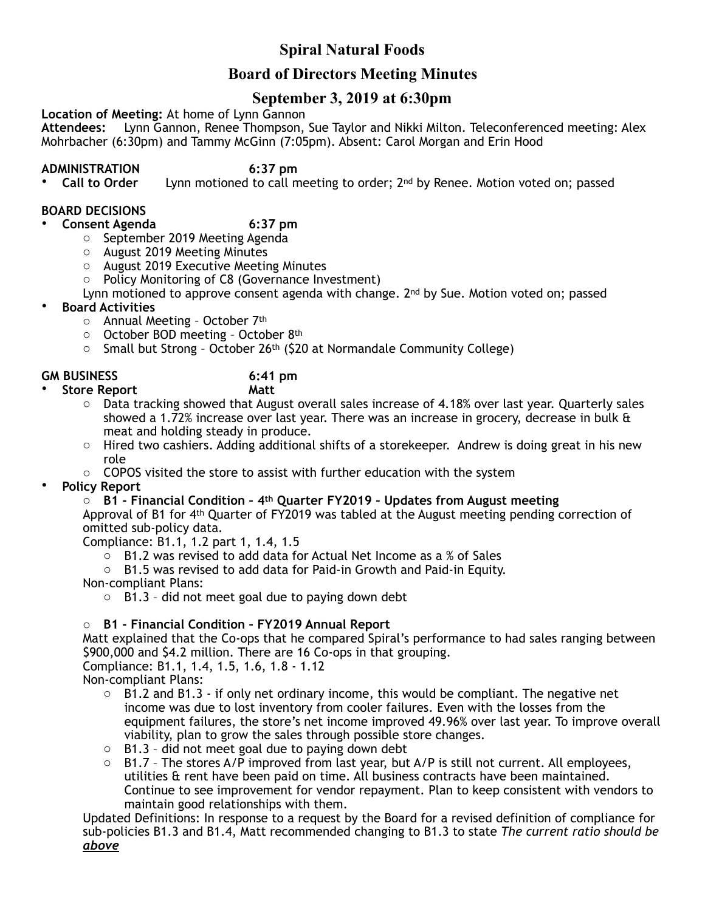# **Spiral Natural Foods**

## **Board of Directors Meeting Minutes**

## **September 3, 2019 at 6:30pm**

**Location of Meeting:** At home of Lynn Gannon

**Attendees:** Lynn Gannon, Renee Thompson, Sue Taylor and Nikki Milton. Teleconferenced meeting: Alex Mohrbacher (6:30pm) and Tammy McGinn (7:05pm). Absent: Carol Morgan and Erin Hood

**ADMINISTRATION 6:37 pm**  Lynn motioned to call meeting to order; 2<sup>nd</sup> by Renee. Motion voted on; passed

## **BOARD DECISIONS**

## • **Consent Agenda 6:37 pm**

- o September 2019 Meeting Agenda
- o August 2019 Meeting Minutes
- o August 2019 Executive Meeting Minutes
- o Policy Monitoring of C8 (Governance Investment)

Lynn motioned to approve consent agenda with change.  $2<sup>nd</sup>$  by Sue. Motion voted on; passed

- **Board Activities**
	- o Annual Meeting October 7th
	- o October BOD meeting October 8th
	- $\circ$  Small but Strong October 26<sup>th</sup> (\$20 at Normandale Community College)

#### **GM BUSINESS 6:41 pm**

- **Store Report Matt** 
	- $\circ$  Data tracking showed that August overall sales increase of 4.18% over last year. Quarterly sales showed a 1.72% increase over last year. There was an increase in grocery, decrease in bulk  $\alpha$ meat and holding steady in produce.
	- $\circ$  Hired two cashiers. Adding additional shifts of a storekeeper. Andrew is doing great in his new role
	- $\circ$  COPOS visited the store to assist with further education with the system
- **Policy Report**

o **B1 - Financial Condition – 4th Quarter FY2019 – Updates from August meeting** Approval of B1 for 4th Quarter of FY2019 was tabled at the August meeting pending correction of omitted sub-policy data.

Compliance: B1.1, 1.2 part 1, 1.4, 1.5

 $\circ$  B1.2 was revised to add data for Actual Net Income as a % of Sales

o B1.5 was revised to add data for Paid-in Growth and Paid-in Equity.

Non-compliant Plans:

 $\circ$  B1.3 - did not meet goal due to paying down debt

## o **B1 - Financial Condition – FY2019 Annual Report**

Matt explained that the Co-ops that he compared Spiral's performance to had sales ranging between \$900,000 and \$4.2 million. There are 16 Co-ops in that grouping.

Compliance: B1.1, 1.4, 1.5, 1.6, 1.8 - 1.12

- Non-compliant Plans:
	- $\circ$  B1.2 and B1.3 if only net ordinary income, this would be compliant. The negative net income was due to lost inventory from cooler failures. Even with the losses from the equipment failures, the store's net income improved 49.96% over last year. To improve overall viability, plan to grow the sales through possible store changes.
	- o B1.3 did not meet goal due to paying down debt
	- $\circ$  B1.7 The stores A/P improved from last year, but A/P is still not current. All employees, utilities & rent have been paid on time. All business contracts have been maintained. Continue to see improvement for vendor repayment. Plan to keep consistent with vendors to maintain good relationships with them.

Updated Definitions: In response to a request by the Board for a revised definition of compliance for sub-policies B1.3 and B1.4, Matt recommended changing to B1.3 to state *The current ratio should be above*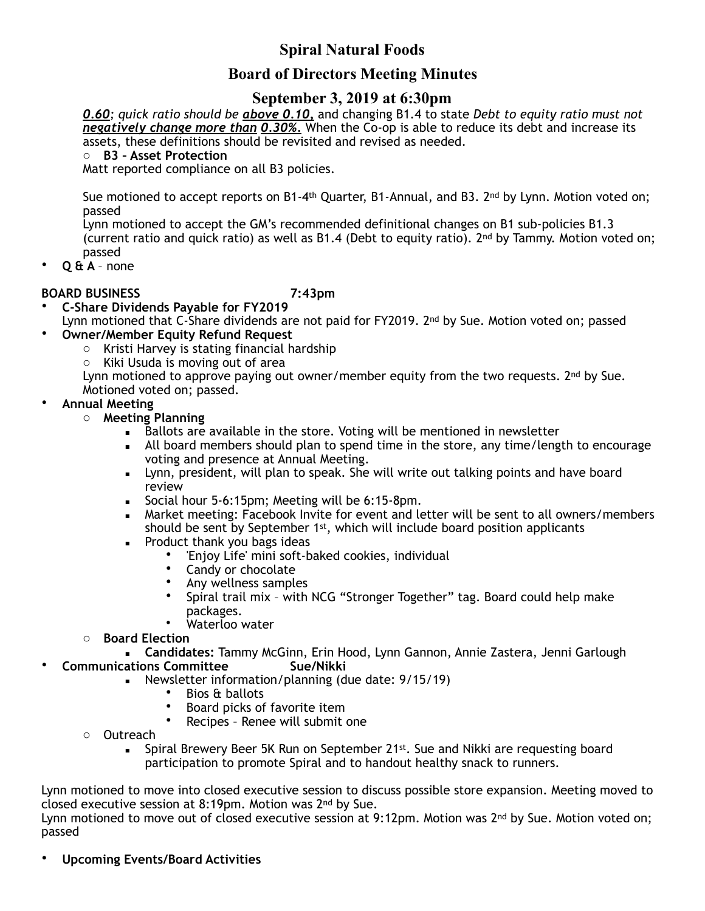# **Spiral Natural Foods**

## **Board of Directors Meeting Minutes**

## **September 3, 2019 at 6:30pm**

*0.60; quick ratio should be above 0.10,* and changing B1.4 to state *Debt to equity ratio must not negatively change more than 0.30%.* When the Co-op is able to reduce its debt and increase its assets, these definitions should be revisited and revised as needed.

o **B3 – Asset Protection**

Matt reported compliance on all B3 policies.

Sue motioned to accept reports on B1-4<sup>th</sup> Quarter, B1-Annual, and B3. 2<sup>nd</sup> by Lynn. Motion voted on; passed

Lynn motioned to accept the GM's recommended definitional changes on B1 sub-policies B1.3 (current ratio and quick ratio) as well as B1.4 (Debt to equity ratio). 2nd by Tammy. Motion voted on; passed

• **Q & A** – none

### **BOARD BUSINESS 7:43pm**

• **C-Share Dividends Payable for FY2019**  Lynn motioned that C-Share dividends are not paid for FY2019. 2<sup>nd</sup> by Sue. Motion voted on; passed

## • **Owner/Member Equity Refund Request**

- o Kristi Harvey is stating financial hardship
- o Kiki Usuda is moving out of area

Lynn motioned to approve paying out owner/member equity from the two requests.  $2^{nd}$  by Sue. Motioned voted on; passed.

### • **Annual Meeting**

- o **Meeting Planning**
	- **EXELOTE:** Ballots are available in the store. Voting will be mentioned in newsletter
	- All board members should plan to spend time in the store, any time/length to encourage voting and presence at Annual Meeting.
	- Lynn, president, will plan to speak. She will write out talking points and have board review
	- Social hour 5-6:15pm; Meeting will be 6:15-8pm.
	- Market meeting: Facebook Invite for event and letter will be sent to all owners/members should be sent by September  $1<sup>st</sup>$ , which will include board position applicants
	- **•** Product thank you bags ideas
		- 'Enjoy Life' mini soft-baked cookies, individual
		- Candy or chocolate
		- Any wellness samples
		- Spiral trail mix with NCG "Stronger Together" tag. Board could help make packages.
		- Waterloo water
- o **Board Election**

▪ **Candidates:** Tammy McGinn, Erin Hood, Lynn Gannon, Annie Zastera, Jenni Garlough **Communications Committee** 

- Newsletter information/planning (due date: 9/15/19)
	- Bios & ballots<br>• Board picks of
	- Board picks of favorite item
	- Recipes Renee will submit one
- o Outreach
	- Spiral Brewery Beer 5K Run on September 21st. Sue and Nikki are requesting board participation to promote Spiral and to handout healthy snack to runners.

Lynn motioned to move into closed executive session to discuss possible store expansion. Meeting moved to closed executive session at 8:19pm. Motion was 2nd by Sue.

Lynn motioned to move out of closed executive session at 9:12pm. Motion was 2<sup>nd</sup> by Sue. Motion voted on; passed

• **Upcoming Events/Board Activities**